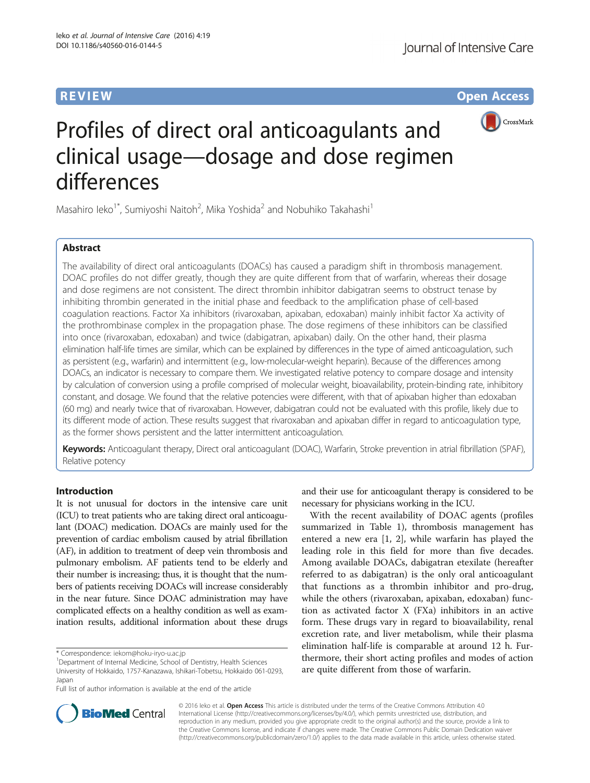**REVIEW CONSTRUCTION CONSTRUCTION CONSTRUCTS** 



# Profiles of direct oral anticoagulants and clinical usage—dosage and dose regimen differences

Masahiro leko $^{1*}$ , Sumiyoshi Naitoh $^2$ , Mika Yoshida $^2$  and Nobuhiko Takahashi $^1$ 

# Abstract

The availability of direct oral anticoagulants (DOACs) has caused a paradigm shift in thrombosis management. DOAC profiles do not differ greatly, though they are quite different from that of warfarin, whereas their dosage and dose regimens are not consistent. The direct thrombin inhibitor dabigatran seems to obstruct tenase by inhibiting thrombin generated in the initial phase and feedback to the amplification phase of cell-based coagulation reactions. Factor Xa inhibitors (rivaroxaban, apixaban, edoxaban) mainly inhibit factor Xa activity of the prothrombinase complex in the propagation phase. The dose regimens of these inhibitors can be classified into once (rivaroxaban, edoxaban) and twice (dabigatran, apixaban) daily. On the other hand, their plasma elimination half-life times are similar, which can be explained by differences in the type of aimed anticoagulation, such as persistent (e.g., warfarin) and intermittent (e.g., low-molecular-weight heparin). Because of the differences among DOACs, an indicator is necessary to compare them. We investigated relative potency to compare dosage and intensity by calculation of conversion using a profile comprised of molecular weight, bioavailability, protein-binding rate, inhibitory constant, and dosage. We found that the relative potencies were different, with that of apixaban higher than edoxaban (60 mg) and nearly twice that of rivaroxaban. However, dabigatran could not be evaluated with this profile, likely due to its different mode of action. These results suggest that rivaroxaban and apixaban differ in regard to anticoagulation type, as the former shows persistent and the latter intermittent anticoagulation.

Keywords: Anticoagulant therapy, Direct oral anticoagulant (DOAC), Warfarin, Stroke prevention in atrial fibrillation (SPAF), Relative potency

# Introduction

It is not unusual for doctors in the intensive care unit (ICU) to treat patients who are taking direct oral anticoagulant (DOAC) medication. DOACs are mainly used for the prevention of cardiac embolism caused by atrial fibrillation (AF), in addition to treatment of deep vein thrombosis and pulmonary embolism. AF patients tend to be elderly and their number is increasing; thus, it is thought that the numbers of patients receiving DOACs will increase considerably in the near future. Since DOAC administration may have complicated effects on a healthy condition as well as examination results, additional information about these drugs

Full list of author information is available at the end of the article

and their use for anticoagulant therapy is considered to be necessary for physicians working in the ICU.

With the recent availability of DOAC agents (profiles summarized in Table [1](#page-1-0)), thrombosis management has entered a new era [[1](#page-5-0), [2\]](#page-5-0), while warfarin has played the leading role in this field for more than five decades. Among available DOACs, dabigatran etexilate (hereafter referred to as dabigatran) is the only oral anticoagulant that functions as a thrombin inhibitor and pro-drug, while the others (rivaroxaban, apixaban, edoxaban) function as activated factor X (FXa) inhibitors in an active form. These drugs vary in regard to bioavailability, renal excretion rate, and liver metabolism, while their plasma elimination half-life is comparable at around 12 h. Furthermore, their short acting profiles and modes of action are quite different from those of warfarin.



© 2016 leko et al. Open Access This article is distributed under the terms of the Creative Commons Attribution 4.0 International License [\(http://creativecommons.org/licenses/by/4.0/](http://creativecommons.org/licenses/by/4.0/)), which permits unrestricted use, distribution, and reproduction in any medium, provided you give appropriate credit to the original author(s) and the source, provide a link to the Creative Commons license, and indicate if changes were made. The Creative Commons Public Domain Dedication waiver [\(http://creativecommons.org/publicdomain/zero/1.0/](http://creativecommons.org/publicdomain/zero/1.0/)) applies to the data made available in this article, unless otherwise stated.

<sup>\*</sup> Correspondence: [iekom@hoku-iryo-u.ac.jp](mailto:iekom@hoku-iryo-u.ac.jp) <sup>1</sup>

<sup>&</sup>lt;sup>1</sup>Department of Internal Medicine, School of Dentistry, Health Sciences University of Hokkaido, 1757-Kanazawa, Ishikari-Tobetsu, Hokkaido 061-0293, Japan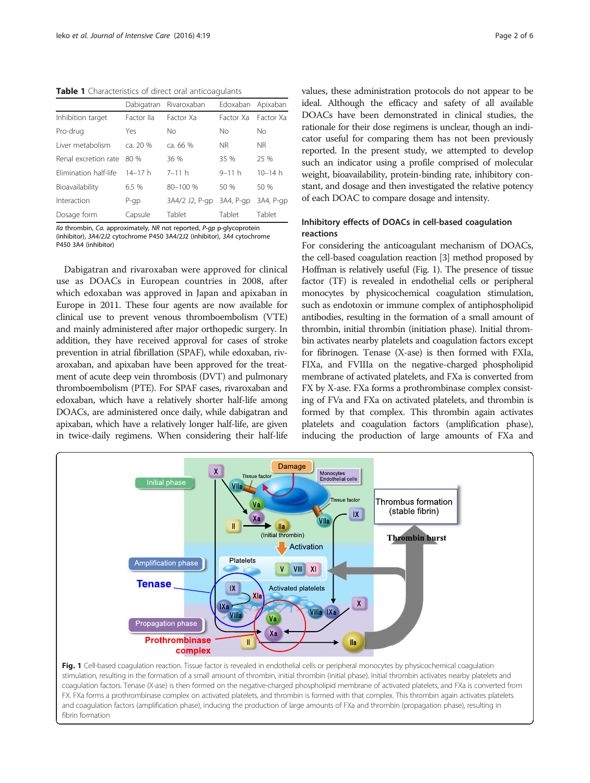<span id="page-1-0"></span>Table 1 Characteristics of direct oral anticoagulants

|                       | Dabigatran | Rivaroxaban    | Edoxaban   | Apixaban    |
|-----------------------|------------|----------------|------------|-------------|
| Inhibition target     | Factor lla | Factor Xa      | Factor Xa  | Factor Xa   |
| Pro-drug              | Yes        | Nο             | Nο         | Nο          |
| Liver metabolism      | ca. 20 %   | ca. 66 %       | NR.        | <b>NR</b>   |
| Renal excretion rate  | 80 %       | 36 %           | 35 %       | 25 %        |
| Flimination half-life | $14 - 17h$ | $7 - 11h$      | $9 - 11 h$ | $10 - 14 h$ |
| Bioavailability       | 6.5 %      | $80 - 100 %$   | 50 %       | 50 %        |
| Interaction           | $P$ -qp    | 3A4/2 J2, P-qp | 3A4, P-qp  | 3A4, P-qp   |
| Dosage form           | Capsule    | Tablet         | Tablet     | Tablet      |

Ila thrombin, Ca. approximately, NR not reported, P-gp p-glycoprotein (inhibitor), 3A4/2J2 cytochrome P450 3A4/2J2 (inhibitor), 3A4 cytochrome P450 3A4 (inhibitor)

Dabigatran and rivaroxaban were approved for clinical use as DOACs in European countries in 2008, after which edoxaban was approved in Japan and apixaban in Europe in 2011. These four agents are now available for clinical use to prevent venous thromboembolism (VTE) and mainly administered after major orthopedic surgery. In addition, they have received approval for cases of stroke prevention in atrial fibrillation (SPAF), while edoxaban, rivaroxaban, and apixaban have been approved for the treatment of acute deep vein thrombosis (DVT) and pulmonary thromboembolism (PTE). For SPAF cases, rivaroxaban and edoxaban, which have a relatively shorter half-life among DOACs, are administered once daily, while dabigatran and apixaban, which have a relatively longer half-life, are given in twice-daily regimens. When considering their half-life values, these administration protocols do not appear to be ideal. Although the efficacy and safety of all available DOACs have been demonstrated in clinical studies, the rationale for their dose regimens is unclear, though an indicator useful for comparing them has not been previously reported. In the present study, we attempted to develop such an indicator using a profile comprised of molecular weight, bioavailability, protein-binding rate, inhibitory constant, and dosage and then investigated the relative potency of each DOAC to compare dosage and intensity.

# Inhibitory effects of DOACs in cell-based coagulation reactions

For considering the anticoagulant mechanism of DOACs, the cell-based coagulation reaction [[3](#page-5-0)] method proposed by Hoffman is relatively useful (Fig. 1). The presence of tissue factor (TF) is revealed in endothelial cells or peripheral monocytes by physicochemical coagulation stimulation, such as endotoxin or immune complex of antiphospholipid antibodies, resulting in the formation of a small amount of thrombin, initial thrombin (initiation phase). Initial thrombin activates nearby platelets and coagulation factors except for fibrinogen. Tenase (X-ase) is then formed with FXIa, FIXa, and FVIIIa on the negative-charged phospholipid membrane of activated platelets, and FXa is converted from FX by X-ase. FXa forms a prothrombinase complex consisting of FVa and FXa on activated platelets, and thrombin is formed by that complex. This thrombin again activates platelets and coagulation factors (amplification phase), inducing the production of large amounts of FXa and



Fig. 1 Cell-based coagulation reaction. Tissue factor is revealed in endothelial cells or peripheral monocytes by physicochemical coagulation stimulation, resulting in the formation of a small amount of thrombin, initial thrombin (initial phase). Initial thrombin activates nearby platelets and coagulation factors. Tenase (X-ase) is then formed on the negative-charged phospholipid membrane of activated platelets, and FXa is converted from FX. FXa forms a prothrombinase complex on activated platelets, and thrombin is formed with that complex. This thrombin again activates platelets and coagulation factors (amplification phase), inducing the production of large amounts of FXa and thrombin (propagation phase), resulting in fibrin formation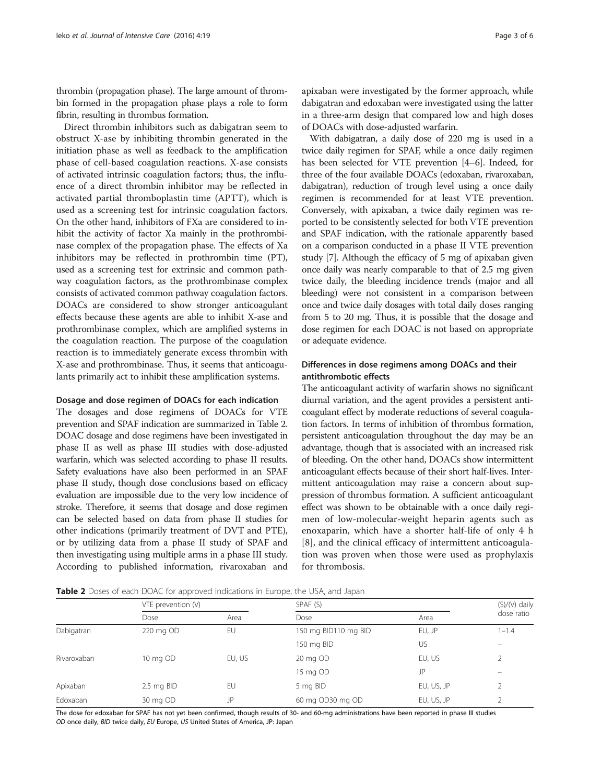<span id="page-2-0"></span>thrombin (propagation phase). The large amount of thrombin formed in the propagation phase plays a role to form fibrin, resulting in thrombus formation.

Direct thrombin inhibitors such as dabigatran seem to obstruct X-ase by inhibiting thrombin generated in the initiation phase as well as feedback to the amplification phase of cell-based coagulation reactions. X-ase consists of activated intrinsic coagulation factors; thus, the influence of a direct thrombin inhibitor may be reflected in activated partial thromboplastin time (APTT), which is used as a screening test for intrinsic coagulation factors. On the other hand, inhibitors of FXa are considered to inhibit the activity of factor Xa mainly in the prothrombinase complex of the propagation phase. The effects of Xa inhibitors may be reflected in prothrombin time (PT), used as a screening test for extrinsic and common pathway coagulation factors, as the prothrombinase complex consists of activated common pathway coagulation factors. DOACs are considered to show stronger anticoagulant effects because these agents are able to inhibit X-ase and prothrombinase complex, which are amplified systems in the coagulation reaction. The purpose of the coagulation reaction is to immediately generate excess thrombin with X-ase and prothrombinase. Thus, it seems that anticoagulants primarily act to inhibit these amplification systems.

# Dosage and dose regimen of DOACs for each indication

The dosages and dose regimens of DOACs for VTE prevention and SPAF indication are summarized in Table 2. DOAC dosage and dose regimens have been investigated in phase II as well as phase III studies with dose-adjusted warfarin, which was selected according to phase II results. Safety evaluations have also been performed in an SPAF phase II study, though dose conclusions based on efficacy evaluation are impossible due to the very low incidence of stroke. Therefore, it seems that dosage and dose regimen can be selected based on data from phase II studies for other indications (primarily treatment of DVT and PTE), or by utilizing data from a phase II study of SPAF and then investigating using multiple arms in a phase III study. According to published information, rivaroxaban and

apixaban were investigated by the former approach, while dabigatran and edoxaban were investigated using the latter in a three-arm design that compared low and high doses of DOACs with dose-adjusted warfarin.

With dabigatran, a daily dose of 220 mg is used in a twice daily regimen for SPAF, while a once daily regimen has been selected for VTE prevention [\[4](#page-5-0)–[6](#page-5-0)]. Indeed, for three of the four available DOACs (edoxaban, rivaroxaban, dabigatran), reduction of trough level using a once daily regimen is recommended for at least VTE prevention. Conversely, with apixaban, a twice daily regimen was reported to be consistently selected for both VTE prevention and SPAF indication, with the rationale apparently based on a comparison conducted in a phase II VTE prevention study [\[7\]](#page-5-0). Although the efficacy of 5 mg of apixaban given once daily was nearly comparable to that of 2.5 mg given twice daily, the bleeding incidence trends (major and all bleeding) were not consistent in a comparison between once and twice daily dosages with total daily doses ranging from 5 to 20 mg. Thus, it is possible that the dosage and dose regimen for each DOAC is not based on appropriate or adequate evidence.

# Differences in dose regimens among DOACs and their antithrombotic effects

The anticoagulant activity of warfarin shows no significant diurnal variation, and the agent provides a persistent anticoagulant effect by moderate reductions of several coagulation factors. In terms of inhibition of thrombus formation, persistent anticoagulation throughout the day may be an advantage, though that is associated with an increased risk of bleeding. On the other hand, DOACs show intermittent anticoagulant effects because of their short half-lives. Intermittent anticoagulation may raise a concern about suppression of thrombus formation. A sufficient anticoagulant effect was shown to be obtainable with a once daily regimen of low-molecular-weight heparin agents such as enoxaparin, which have a shorter half-life of only 4 h [[8\]](#page-5-0), and the clinical efficacy of intermittent anticoagulation was proven when those were used as prophylaxis for thrombosis.

**Table 2** Doses of each DOAC for approved indications in Europe, the USA, and Japan

|             | VTE prevention (V) |        | SPAF (S)             |            | $(S)/(V)$ daily          |
|-------------|--------------------|--------|----------------------|------------|--------------------------|
|             | Dose               | Area   | Dose                 | Area       | dose ratio               |
| Dabigatran  | 220 mg OD          | EU     | 150 mg BID110 mg BID | EU, JP     | $1 - 1.4$                |
|             |                    |        | 150 mg BID           | US         |                          |
| Rivaroxaban | 10 mg OD           | EU, US | 20 mg OD             | EU, US     | 2                        |
|             |                    |        | 15 mg OD             | JP         | $\overline{\phantom{0}}$ |
| Apixaban    | 2.5 mg BID         | EU     | 5 mg BID             | EU, US, JP | 2                        |
| Edoxaban    | 30 mg OD           | JP     | 60 mg OD30 mg OD     | EU, US, JP |                          |

The dose for edoxaban for SPAF has not yet been confirmed, though results of 30- and 60-mg administrations have been reported in phase III studies OD once daily, BID twice daily, EU Europe, US United States of America, JP: Japan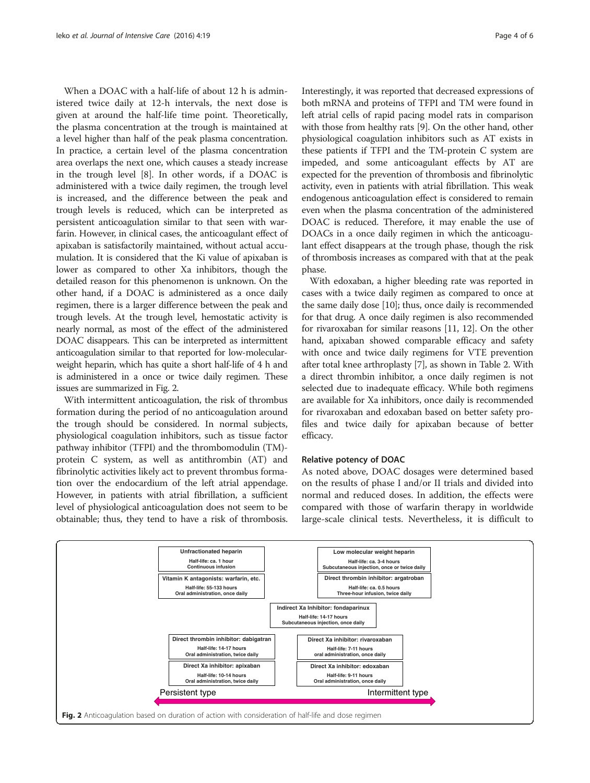When a DOAC with a half-life of about 12 h is administered twice daily at 12-h intervals, the next dose is given at around the half-life time point. Theoretically, the plasma concentration at the trough is maintained at a level higher than half of the peak plasma concentration. In practice, a certain level of the plasma concentration area overlaps the next one, which causes a steady increase in the trough level [\[8](#page-5-0)]. In other words, if a DOAC is administered with a twice daily regimen, the trough level is increased, and the difference between the peak and trough levels is reduced, which can be interpreted as persistent anticoagulation similar to that seen with warfarin. However, in clinical cases, the anticoagulant effect of apixaban is satisfactorily maintained, without actual accumulation. It is considered that the Ki value of apixaban is lower as compared to other Xa inhibitors, though the detailed reason for this phenomenon is unknown. On the other hand, if a DOAC is administered as a once daily regimen, there is a larger difference between the peak and trough levels. At the trough level, hemostatic activity is nearly normal, as most of the effect of the administered DOAC disappears. This can be interpreted as intermittent anticoagulation similar to that reported for low-molecularweight heparin, which has quite a short half-life of 4 h and is administered in a once or twice daily regimen. These issues are summarized in Fig. 2.

With intermittent anticoagulation, the risk of thrombus formation during the period of no anticoagulation around the trough should be considered. In normal subjects, physiological coagulation inhibitors, such as tissue factor pathway inhibitor (TFPI) and the thrombomodulin (TM) protein C system, as well as antithrombin (AT) and fibrinolytic activities likely act to prevent thrombus formation over the endocardium of the left atrial appendage. However, in patients with atrial fibrillation, a sufficient level of physiological anticoagulation does not seem to be obtainable; thus, they tend to have a risk of thrombosis. Interestingly, it was reported that decreased expressions of both mRNA and proteins of TFPI and TM were found in left atrial cells of rapid pacing model rats in comparison with those from healthy rats [\[9](#page-5-0)]. On the other hand, other physiological coagulation inhibitors such as AT exists in these patients if TFPI and the TM-protein C system are impeded, and some anticoagulant effects by AT are expected for the prevention of thrombosis and fibrinolytic activity, even in patients with atrial fibrillation. This weak endogenous anticoagulation effect is considered to remain even when the plasma concentration of the administered DOAC is reduced. Therefore, it may enable the use of DOACs in a once daily regimen in which the anticoagulant effect disappears at the trough phase, though the risk of thrombosis increases as compared with that at the peak phase.

With edoxaban, a higher bleeding rate was reported in cases with a twice daily regimen as compared to once at the same daily dose [[10](#page-5-0)]; thus, once daily is recommended for that drug. A once daily regimen is also recommended for rivaroxaban for similar reasons [[11](#page-5-0), [12](#page-5-0)]. On the other hand, apixaban showed comparable efficacy and safety with once and twice daily regimens for VTE prevention after total knee arthroplasty [\[7](#page-5-0)], as shown in Table [2](#page-2-0). With a direct thrombin inhibitor, a once daily regimen is not selected due to inadequate efficacy. While both regimens are available for Xa inhibitors, once daily is recommended for rivaroxaban and edoxaban based on better safety profiles and twice daily for apixaban because of better efficacy.

# Relative potency of DOAC

As noted above, DOAC dosages were determined based on the results of phase I and/or II trials and divided into normal and reduced doses. In addition, the effects were compared with those of warfarin therapy in worldwide large-scale clinical tests. Nevertheless, it is difficult to

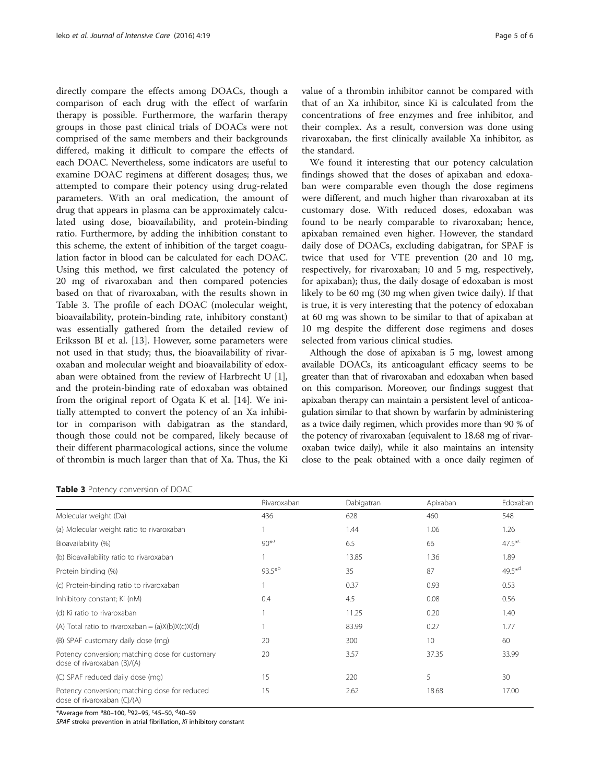directly compare the effects among DOACs, though a comparison of each drug with the effect of warfarin therapy is possible. Furthermore, the warfarin therapy groups in those past clinical trials of DOACs were not comprised of the same members and their backgrounds differed, making it difficult to compare the effects of each DOAC. Nevertheless, some indicators are useful to examine DOAC regimens at different dosages; thus, we attempted to compare their potency using drug-related parameters. With an oral medication, the amount of drug that appears in plasma can be approximately calculated using dose, bioavailability, and protein-binding ratio. Furthermore, by adding the inhibition constant to this scheme, the extent of inhibition of the target coagulation factor in blood can be calculated for each DOAC. Using this method, we first calculated the potency of 20 mg of rivaroxaban and then compared potencies based on that of rivaroxaban, with the results shown in Table 3. The profile of each DOAC (molecular weight, bioavailability, protein-binding rate, inhibitory constant) was essentially gathered from the detailed review of Eriksson BI et al. [[13\]](#page-5-0). However, some parameters were not used in that study; thus, the bioavailability of rivaroxaban and molecular weight and bioavailability of edoxaban were obtained from the review of Harbrecht U [\[1](#page-5-0)], and the protein-binding rate of edoxaban was obtained from the original report of Ogata K et al. [\[14](#page-5-0)]. We initially attempted to convert the potency of an Xa inhibitor in comparison with dabigatran as the standard, though those could not be compared, likely because of their different pharmacological actions, since the volume of thrombin is much larger than that of Xa. Thus, the Ki

value of a thrombin inhibitor cannot be compared with that of an Xa inhibitor, since Ki is calculated from the concentrations of free enzymes and free inhibitor, and their complex. As a result, conversion was done using rivaroxaban, the first clinically available Xa inhibitor, as the standard.

We found it interesting that our potency calculation findings showed that the doses of apixaban and edoxaban were comparable even though the dose regimens were different, and much higher than rivaroxaban at its customary dose. With reduced doses, edoxaban was found to be nearly comparable to rivaroxaban; hence, apixaban remained even higher. However, the standard daily dose of DOACs, excluding dabigatran, for SPAF is twice that used for VTE prevention (20 and 10 mg, respectively, for rivaroxaban; 10 and 5 mg, respectively, for apixaban); thus, the daily dosage of edoxaban is most likely to be 60 mg (30 mg when given twice daily). If that is true, it is very interesting that the potency of edoxaban at 60 mg was shown to be similar to that of apixaban at 10 mg despite the different dose regimens and doses selected from various clinical studies.

Although the dose of apixaban is 5 mg, lowest among available DOACs, its anticoagulant efficacy seems to be greater than that of rivaroxaban and edoxaban when based on this comparison. Moreover, our findings suggest that apixaban therapy can maintain a persistent level of anticoagulation similar to that shown by warfarin by administering as a twice daily regimen, which provides more than 90 % of the potency of rivaroxaban (equivalent to 18.68 mg of rivaroxaban twice daily), while it also maintains an intensity close to the peak obtained with a once daily regimen of

|                                                                                | Rivaroxaban | Dabigatran | Apixaban | Edoxaban    |
|--------------------------------------------------------------------------------|-------------|------------|----------|-------------|
| Molecular weight (Da)                                                          | 436         | 628        | 460      | 548         |
| (a) Molecular weight ratio to rivaroxaban                                      |             | 1.44       | 1.06     | 1.26        |
| Bioavailability (%)                                                            | $90^{*a}$   | 6.5        | 66       | $47.5*^{c}$ |
| (b) Bioavailability ratio to rivaroxaban                                       |             | 13.85      | 1.36     | 1.89        |
| Protein binding (%)                                                            | $93.5*^{b}$ | 35         | 87       | $49.5*^{d}$ |
| (c) Protein-binding ratio to rivaroxaban                                       |             | 0.37       | 0.93     | 0.53        |
| Inhibitory constant; Ki (nM)                                                   | 0.4         | 4.5        | 0.08     | 0.56        |
| (d) Ki ratio to rivaroxaban                                                    |             | 11.25      | 0.20     | 1.40        |
| (A) Total ratio to rivaroxaban = $(a)X(b)X(c)X(d)$                             |             | 83.99      | 0.27     | 1.77        |
| (B) SPAF customary daily dose (mq)                                             | 20          | 300        | 10       | 60          |
| Potency conversion; matching dose for customary<br>dose of rivaroxaban (B)/(A) | 20          | 3.57       | 37.35    | 33.99       |
| (C) SPAF reduced daily dose (mg)                                               | 15          | 220        | 5        | 30          |
| Potency conversion; matching dose for reduced<br>dose of rivaroxaban (C)/(A)   | 15          | 2.62       | 18.68    | 17.00       |

\*Average from <sup>a</sup>80–100, <sup>b</sup>92–95, <sup>c</sup>45–50, <sup>d</sup>40–59

SPAF stroke prevention in atrial fibrillation, Ki inhibitory constant

## Table 3 Potency conversion of DOAC